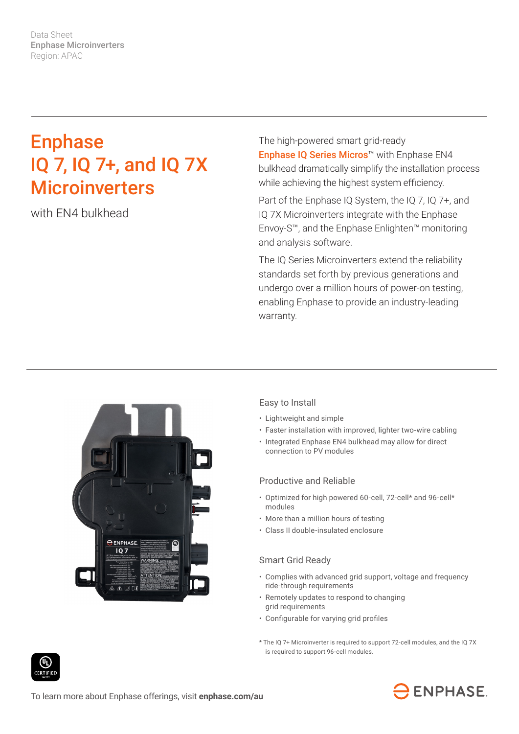Data Sheet Enphase Microinverters Region: APAC

# Enphase IQ 7, IQ 7+, and IQ 7X **Microinverters**

with EN4 bulkhead

The high-powered smart grid-ready Enphase IQ Series Micros™ with Enphase EN4 bulkhead dramatically simplify the installation process while achieving the highest system efficiency.

Part of the Enphase IQ System, the IQ 7, IQ 7+, and IQ 7X Microinverters integrate with the Enphase Envoy-S™, and the Enphase Enlighten™ monitoring and analysis software.

The IQ Series Microinverters extend the reliability standards set forth by previous generations and undergo over a million hours of power-on testing, enabling Enphase to provide an industry-leading warranty.



### Easy to Install

- Lightweight and simple
- Faster installation with improved, lighter two-wire cabling
- Integrated Enphase EN4 bulkhead may allow for direct connection to PV modules

### Productive and Reliable

- Optimized for high powered 60-cell, 72-cell\* and 96-cell\* modules
- More than a million hours of testing
- Class II double-insulated enclosure

### Smart Grid Ready

- Complies with advanced grid support, voltage and frequency ride-through requirements
- Remotely updates to respond to changing grid requirements
- • Configurable for varying grid profiles
- \* The IQ 7+ Microinverter is required to support 72-cell modules, and the IQ 7X is required to support 96-cell modules.